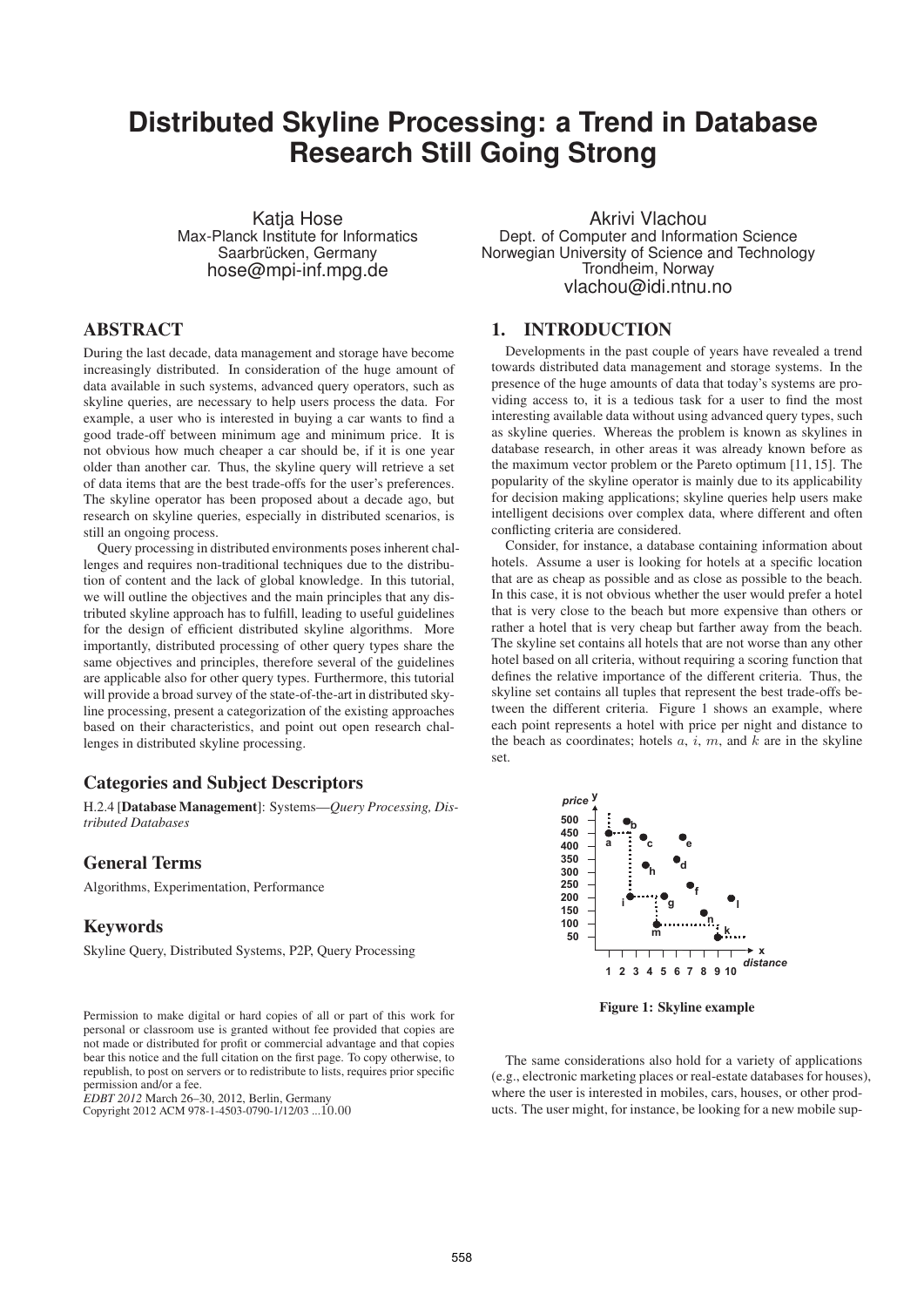# **Distributed Skyline Processing: a Trend in Database Research Still Going Strong**

Katja Hose Max-Planck Institute for Informatics Saarbrücken, Germany hose@mpi-inf.mpg.de

## ABSTRACT

During the last decade, data management and storage have become increasingly distributed. In consideration of the huge amount of data available in such systems, advanced query operators, such as skyline queries, are necessary to help users process the data. For example, a user who is interested in buying a car wants to find a good trade-off between minimum age and minimum price. It is not obvious how much cheaper a car should be, if it is one year older than another car. Thus, the skyline query will retrieve a set of data items that are the best trade-offs for the user's preferences. The skyline operator has been proposed about a decade ago, but research on skyline queries, especially in distributed scenarios, is still an ongoing process.

Query processing in distributed environments poses inherent challenges and requires non-traditional techniques due to the distribution of content and the lack of global knowledge. In this tutorial, we will outline the objectives and the main principles that any distributed skyline approach has to fulfill, leading to useful guidelines for the design of efficient distributed skyline algorithms. More importantly, distributed processing of other query types share the same objectives and principles, therefore several of the guidelines are applicable also for other query types. Furthermore, this tutorial will provide a broad survey of the state-of-the-art in distributed skyline processing, present a categorization of the existing approaches based on their characteristics, and point out open research challenges in distributed skyline processing.

#### Categories and Subject Descriptors

H.2.4 [Database Management]: Systems—*Query Processing, Distributed Databases*

#### General Terms

Algorithms, Experimentation, Performance

#### Keywords

Skyline Query, Distributed Systems, P2P, Query Processing

Permission to make digital or hard copies of all or part of this work for personal or classroom use is granted without fee provided that copies are not made or distributed for profit or commercial advantage and that copies bear this notice and the full citation on the first page. To copy otherwise, to republish, to post on servers or to redistribute to lists, requires prior specific permission and/or a fee.

*EDBT 2012* March 26–30, 2012, Berlin, Germany<br>Copyright 2012 ACM 978-1-4503-0790-1/12/03 ...10.00

Akrivi Vlachou Dept. of Computer and Information Science Norwegian University of Science and Technology Trondheim, Norway vlachou@idi.ntnu.no

# 1. INTRODUCTION

Developments in the past couple of years have revealed a trend towards distributed data management and storage systems. In the presence of the huge amounts of data that today's systems are providing access to, it is a tedious task for a user to find the most interesting available data without using advanced query types, such as skyline queries. Whereas the problem is known as skylines in database research, in other areas it was already known before as the maximum vector problem or the Pareto optimum [11, 15]. The popularity of the skyline operator is mainly due to its applicability for decision making applications; skyline queries help users make intelligent decisions over complex data, where different and often conflicting criteria are considered.

Consider, for instance, a database containing information about hotels. Assume a user is looking for hotels at a specific location that are as cheap as possible and as close as possible to the beach. In this case, it is not obvious whether the user would prefer a hotel that is very close to the beach but more expensive than others or rather a hotel that is very cheap but farther away from the beach. The skyline set contains all hotels that are not worse than any other hotel based on all criteria, without requiring a scoring function that defines the relative importance of the different criteria. Thus, the skyline set contains all tuples that represent the best trade-offs between the different criteria. Figure 1 shows an example, where each point represents a hotel with price per night and distance to the beach as coordinates; hotels  $a, i, m$ , and  $k$  are in the skyline set.



Figure 1: Skyline example

The same considerations also hold for a variety of applications (e.g., electronic marketing places or real-estate databases for houses), where the user is interested in mobiles, cars, houses, or other products. The user might, for instance, be looking for a new mobile sup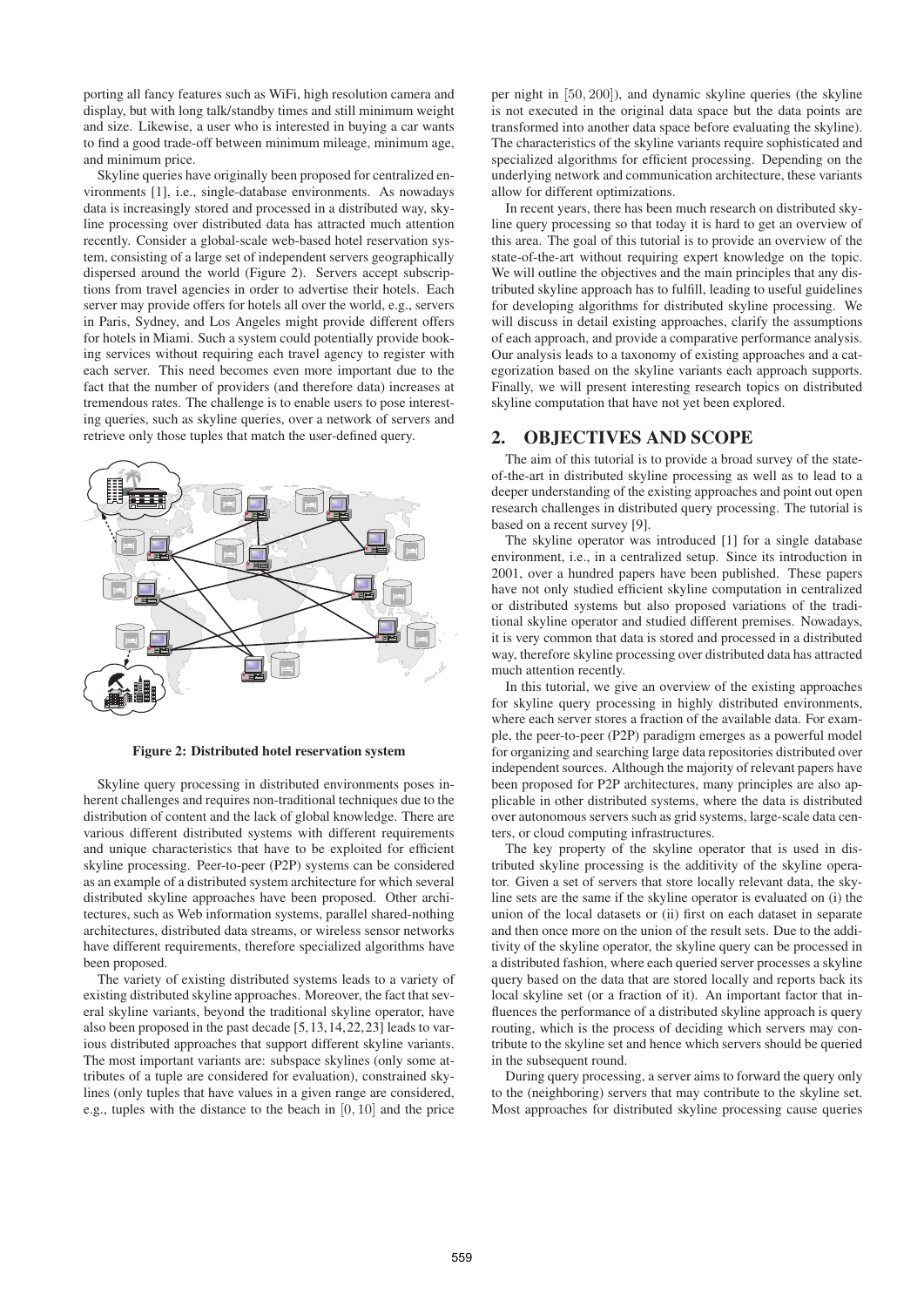porting all fancy features such as WiFi, high resolution camera and display, but with long talk/standby times and still minimum weight and size. Likewise, a user who is interested in buying a car wants to find a good trade-off between minimum mileage, minimum age, and minimum price.

Skyline queries have originally been proposed for centralized environments [1], i.e., single-database environments. As nowadays data is increasingly stored and processed in a distributed way, skyline processing over distributed data has attracted much attention recently. Consider a global-scale web-based hotel reservation system, consisting of a large set of independent servers geographically dispersed around the world (Figure 2). Servers accept subscriptions from travel agencies in order to advertise their hotels. Each server may provide offers for hotels all over the world, e.g., servers in Paris, Sydney, and Los Angeles might provide different offers for hotels in Miami. Such a system could potentially provide booking services without requiring each travel agency to register with each server. This need becomes even more important due to the fact that the number of providers (and therefore data) increases at tremendous rates. The challenge is to enable users to pose interesting queries, such as skyline queries, over a network of servers and retrieve only those tuples that match the user-defined query.



Figure 2: Distributed hotel reservation system

Skyline query processing in distributed environments poses inherent challenges and requires non-traditional techniques due to the distribution of content and the lack of global knowledge. There are various different distributed systems with different requirements and unique characteristics that have to be exploited for efficient skyline processing. Peer-to-peer (P2P) systems can be considered as an example of a distributed system architecture for which several distributed skyline approaches have been proposed. Other architectures, such as Web information systems, parallel shared-nothing architectures, distributed data streams, or wireless sensor networks have different requirements, therefore specialized algorithms have been proposed.

The variety of existing distributed systems leads to a variety of existing distributed skyline approaches. Moreover, the fact that several skyline variants, beyond the traditional skyline operator, have also been proposed in the past decade [5,13,14,22,23] leads to various distributed approaches that support different skyline variants. The most important variants are: subspace skylines (only some attributes of a tuple are considered for evaluation), constrained skylines (only tuples that have values in a given range are considered, e.g., tuples with the distance to the beach in [0, 10] and the price

per night in [50, 200]), and dynamic skyline queries (the skyline is not executed in the original data space but the data points are transformed into another data space before evaluating the skyline). The characteristics of the skyline variants require sophisticated and specialized algorithms for efficient processing. Depending on the underlying network and communication architecture, these variants allow for different optimizations.

In recent years, there has been much research on distributed skyline query processing so that today it is hard to get an overview of this area. The goal of this tutorial is to provide an overview of the state-of-the-art without requiring expert knowledge on the topic. We will outline the objectives and the main principles that any distributed skyline approach has to fulfill, leading to useful guidelines for developing algorithms for distributed skyline processing. We will discuss in detail existing approaches, clarify the assumptions of each approach, and provide a comparative performance analysis. Our analysis leads to a taxonomy of existing approaches and a categorization based on the skyline variants each approach supports. Finally, we will present interesting research topics on distributed skyline computation that have not yet been explored.

#### 2. OBJECTIVES AND SCOPE

The aim of this tutorial is to provide a broad survey of the stateof-the-art in distributed skyline processing as well as to lead to a deeper understanding of the existing approaches and point out open research challenges in distributed query processing. The tutorial is based on a recent survey [9].

The skyline operator was introduced [1] for a single database environment, i.e., in a centralized setup. Since its introduction in 2001, over a hundred papers have been published. These papers have not only studied efficient skyline computation in centralized or distributed systems but also proposed variations of the traditional skyline operator and studied different premises. Nowadays, it is very common that data is stored and processed in a distributed way, therefore skyline processing over distributed data has attracted much attention recently.

In this tutorial, we give an overview of the existing approaches for skyline query processing in highly distributed environments, where each server stores a fraction of the available data. For example, the peer-to-peer (P2P) paradigm emerges as a powerful model for organizing and searching large data repositories distributed over independent sources. Although the majority of relevant papers have been proposed for P2P architectures, many principles are also applicable in other distributed systems, where the data is distributed over autonomous servers such as grid systems, large-scale data centers, or cloud computing infrastructures.

The key property of the skyline operator that is used in distributed skyline processing is the additivity of the skyline operator. Given a set of servers that store locally relevant data, the skyline sets are the same if the skyline operator is evaluated on (i) the union of the local datasets or (ii) first on each dataset in separate and then once more on the union of the result sets. Due to the additivity of the skyline operator, the skyline query can be processed in a distributed fashion, where each queried server processes a skyline query based on the data that are stored locally and reports back its local skyline set (or a fraction of it). An important factor that influences the performance of a distributed skyline approach is query routing, which is the process of deciding which servers may contribute to the skyline set and hence which servers should be queried in the subsequent round.

During query processing, a server aims to forward the query only to the (neighboring) servers that may contribute to the skyline set. Most approaches for distributed skyline processing cause queries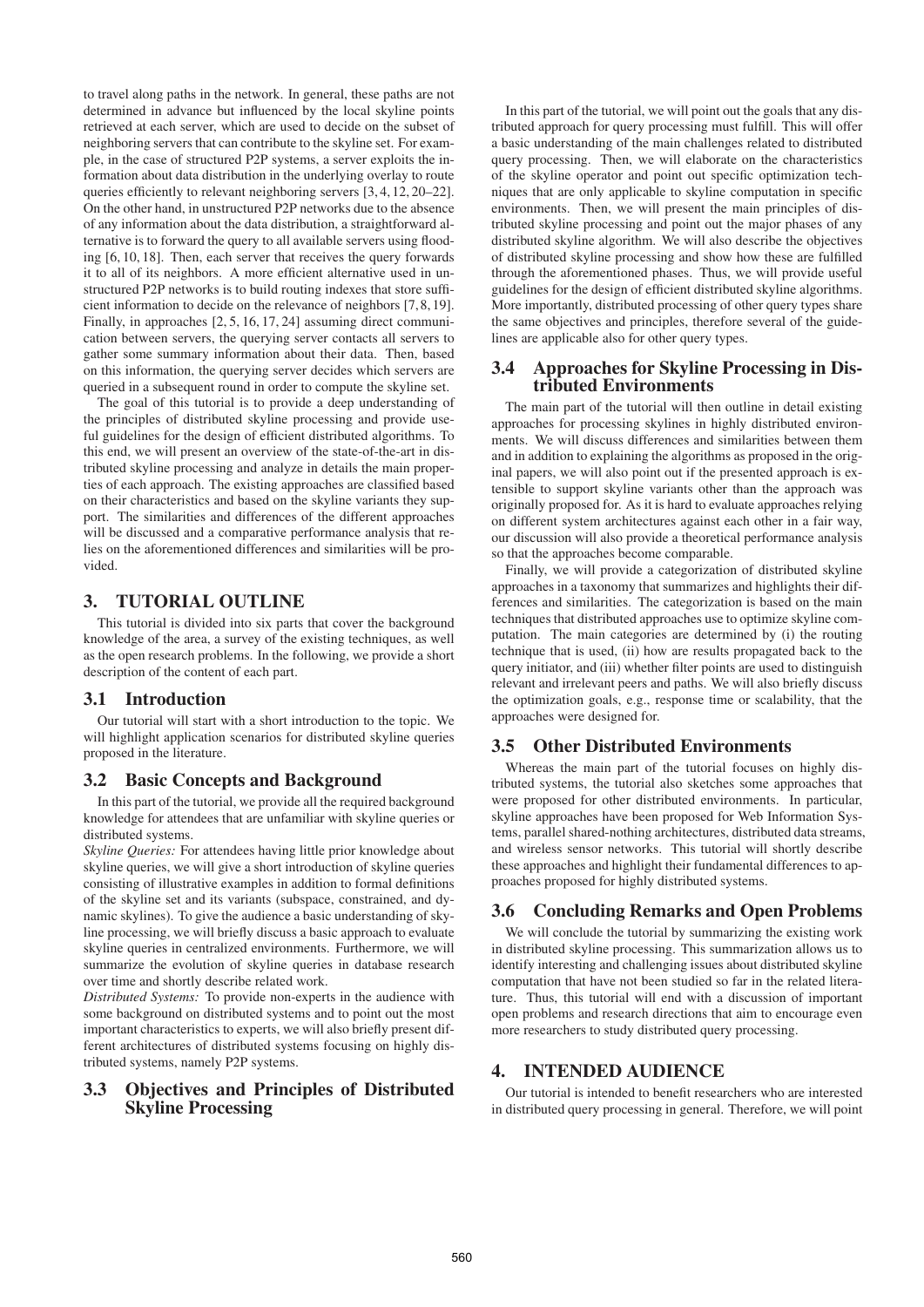to travel along paths in the network. In general, these paths are not determined in advance but influenced by the local skyline points retrieved at each server, which are used to decide on the subset of neighboring servers that can contribute to the skyline set. For example, in the case of structured P2P systems, a server exploits the information about data distribution in the underlying overlay to route queries efficiently to relevant neighboring servers [3, 4, 12, 20–22]. On the other hand, in unstructured P2P networks due to the absence of any information about the data distribution, a straightforward alternative is to forward the query to all available servers using flooding [6, 10, 18]. Then, each server that receives the query forwards it to all of its neighbors. A more efficient alternative used in unstructured P2P networks is to build routing indexes that store sufficient information to decide on the relevance of neighbors [7, 8, 19]. Finally, in approaches [2, 5, 16, 17, 24] assuming direct communication between servers, the querying server contacts all servers to gather some summary information about their data. Then, based on this information, the querying server decides which servers are queried in a subsequent round in order to compute the skyline set.

The goal of this tutorial is to provide a deep understanding of the principles of distributed skyline processing and provide useful guidelines for the design of efficient distributed algorithms. To this end, we will present an overview of the state-of-the-art in distributed skyline processing and analyze in details the main properties of each approach. The existing approaches are classified based on their characteristics and based on the skyline variants they support. The similarities and differences of the different approaches will be discussed and a comparative performance analysis that relies on the aforementioned differences and similarities will be provided.

# 3. TUTORIAL OUTLINE

This tutorial is divided into six parts that cover the background knowledge of the area, a survey of the existing techniques, as well as the open research problems. In the following, we provide a short description of the content of each part.

## 3.1 Introduction

Our tutorial will start with a short introduction to the topic. We will highlight application scenarios for distributed skyline queries proposed in the literature.

## 3.2 Basic Concepts and Background

In this part of the tutorial, we provide all the required background knowledge for attendees that are unfamiliar with skyline queries or distributed systems.

*Skyline Queries:* For attendees having little prior knowledge about skyline queries, we will give a short introduction of skyline queries consisting of illustrative examples in addition to formal definitions of the skyline set and its variants (subspace, constrained, and dynamic skylines). To give the audience a basic understanding of skyline processing, we will briefly discuss a basic approach to evaluate skyline queries in centralized environments. Furthermore, we will summarize the evolution of skyline queries in database research over time and shortly describe related work.

*Distributed Systems:* To provide non-experts in the audience with some background on distributed systems and to point out the most important characteristics to experts, we will also briefly present different architectures of distributed systems focusing on highly distributed systems, namely P2P systems.

#### 3.3 Objectives and Principles of Distributed Skyline Processing

In this part of the tutorial, we will point out the goals that any distributed approach for query processing must fulfill. This will offer a basic understanding of the main challenges related to distributed query processing. Then, we will elaborate on the characteristics of the skyline operator and point out specific optimization techniques that are only applicable to skyline computation in specific environments. Then, we will present the main principles of distributed skyline processing and point out the major phases of any distributed skyline algorithm. We will also describe the objectives of distributed skyline processing and show how these are fulfilled through the aforementioned phases. Thus, we will provide useful guidelines for the design of efficient distributed skyline algorithms. More importantly, distributed processing of other query types share the same objectives and principles, therefore several of the guidelines are applicable also for other query types.

### 3.4 Approaches for Skyline Processing in Distributed Environments

The main part of the tutorial will then outline in detail existing approaches for processing skylines in highly distributed environments. We will discuss differences and similarities between them and in addition to explaining the algorithms as proposed in the original papers, we will also point out if the presented approach is extensible to support skyline variants other than the approach was originally proposed for. As it is hard to evaluate approaches relying on different system architectures against each other in a fair way, our discussion will also provide a theoretical performance analysis so that the approaches become comparable.

Finally, we will provide a categorization of distributed skyline approaches in a taxonomy that summarizes and highlights their differences and similarities. The categorization is based on the main techniques that distributed approaches use to optimize skyline computation. The main categories are determined by (i) the routing technique that is used, (ii) how are results propagated back to the query initiator, and (iii) whether filter points are used to distinguish relevant and irrelevant peers and paths. We will also briefly discuss the optimization goals, e.g., response time or scalability, that the approaches were designed for.

## 3.5 Other Distributed Environments

Whereas the main part of the tutorial focuses on highly distributed systems, the tutorial also sketches some approaches that were proposed for other distributed environments. In particular, skyline approaches have been proposed for Web Information Systems, parallel shared-nothing architectures, distributed data streams, and wireless sensor networks. This tutorial will shortly describe these approaches and highlight their fundamental differences to approaches proposed for highly distributed systems.

# 3.6 Concluding Remarks and Open Problems

We will conclude the tutorial by summarizing the existing work in distributed skyline processing. This summarization allows us to identify interesting and challenging issues about distributed skyline computation that have not been studied so far in the related literature. Thus, this tutorial will end with a discussion of important open problems and research directions that aim to encourage even more researchers to study distributed query processing.

## 4. INTENDED AUDIENCE

Our tutorial is intended to benefit researchers who are interested in distributed query processing in general. Therefore, we will point